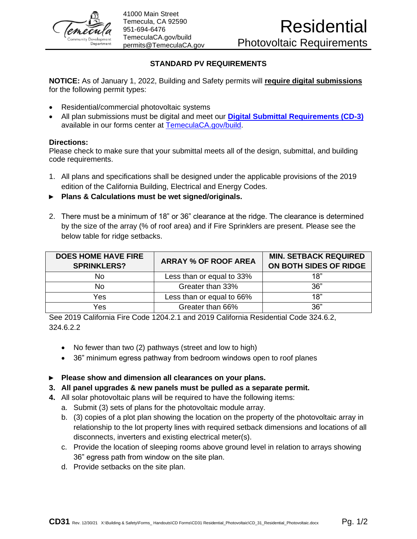

41000 Main Street Temecula, CA 92590 951-694-6476 [TemeculaCA.gov/build](http://www.temeculaca.gov/build) permits@TemeculaCA.gov

## **STANDARD PV REQUIREMENTS**

**NOTICE:** As of January 1, 2022, Building and Safety permits will **require digital submissions** for the following permit types:

- Residential/commercial photovoltaic systems
- All plan submissions must be digital and meet our **[Digital Submittal Requirements \(CD-3\)](https://temeculaca.gov/DocumentCenter/View/12515/CD3-Digital-Submittal-Requirements-PDF)** available in our forms center at [TemeculaCA.gov/build.](http://www.temeculaca.gov/build)

## **Directions:**

Please check to make sure that your submittal meets all of the design, submittal, and building code requirements.

- 1. All plans and specifications shall be designed under the applicable provisions of the 2019 edition of the California Building, Electrical and Energy Codes.
- ► **Plans & Calculations must be wet signed/originals.**
- 2. There must be a minimum of 18" or 36" clearance at the ridge. The clearance is determined by the size of the array (% of roof area) and if Fire Sprinklers are present. Please see the below table for ridge setbacks.

| <b>DOES HOME HAVE FIRE</b><br><b>SPRINKLERS?</b> | <b>ARRAY % OF ROOF AREA</b> | <b>MIN. SETBACK REQUIRED</b><br>ON BOTH SIDES OF RIDGE |
|--------------------------------------------------|-----------------------------|--------------------------------------------------------|
| No                                               | Less than or equal to 33%   | 18"                                                    |
| No                                               | Greater than 33%            | 36"                                                    |
| Yes                                              | Less than or equal to 66%   | 18"                                                    |
| Yes                                              | Greater than 66%            | 36"                                                    |

See 2019 California Fire Code 1204.2.1 and 2019 California Residential Code 324.6.2, 324.6.2.2

- No fewer than two (2) pathways (street and low to high)
- 36" minimum egress pathway from bedroom windows open to roof planes
- ► **Please show and dimension all clearances on your plans.**
- **3. All panel upgrades & new panels must be pulled as a separate permit.**
- **4.** All solar photovoltaic plans will be required to have the following items:
	- a. Submit (3) sets of plans for the photovoltaic module array.
	- b. (3) copies of a plot plan showing the location on the property of the photovoltaic array in relationship to the lot property lines with required setback dimensions and locations of all disconnects, inverters and existing electrical meter(s).
	- c. Provide the location of sleeping rooms above ground level in relation to arrays showing 36" egress path from window on the site plan.
	- d. Provide setbacks on the site plan.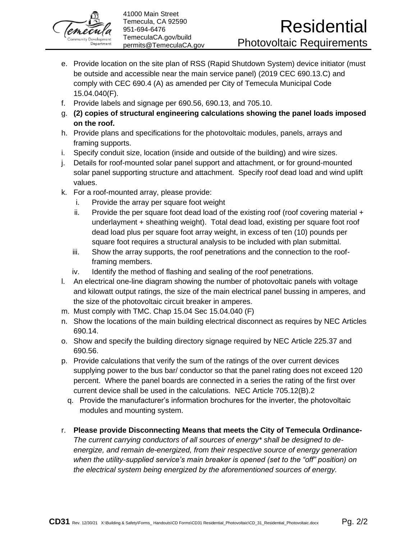

- e. Provide location on the site plan of RSS (Rapid Shutdown System) device initiator (must be outside and accessible near the main service panel) (2019 CEC 690.13.C) and comply with CEC 690.4 (A) as amended per City of Temecula Municipal Code 15.04.040(F).
- f. Provide labels and signage per 690.56, 690.13, and 705.10.
- g. **(2) copies of structural engineering calculations showing the panel loads imposed on the roof.**
- h. Provide plans and specifications for the photovoltaic modules, panels, arrays and framing supports.
- i. Specify conduit size, location (inside and outside of the building) and wire sizes.
- j. Details for roof-mounted solar panel support and attachment, or for ground-mounted solar panel supporting structure and attachment. Specify roof dead load and wind uplift values.
- k. For a roof-mounted array, please provide:
	- i. Provide the array per square foot weight
	- ii. Provide the per square foot dead load of the existing roof (roof covering material  $+$ underlayment + sheathing weight). Total dead load, existing per square foot roof dead load plus per square foot array weight, in excess of ten (10) pounds per square foot requires a structural analysis to be included with plan submittal.
	- iii. Show the array supports, the roof penetrations and the connection to the roofframing members.
	- iv. Identify the method of flashing and sealing of the roof penetrations.
- l. An electrical one-line diagram showing the number of photovoltaic panels with voltage and kilowatt output ratings, the size of the main electrical panel bussing in amperes, and the size of the photovoltaic circuit breaker in amperes.
- m. Must comply with TMC. Chap 15.04 Sec 15.04.040 (F)
- n. Show the locations of the main building electrical disconnect as requires by NEC Articles 690.14.
- o. Show and specify the building directory signage required by NEC Article 225.37 and 690.56.
- p. Provide calculations that verify the sum of the ratings of the over current devices supplying power to the bus bar/ conductor so that the panel rating does not exceed 120 percent. Where the panel boards are connected in a series the rating of the first over current device shall be used in the calculations. NEC Article 705.12(B).2
	- q. Provide the manufacturer's information brochures for the inverter, the photovoltaic modules and mounting system.
- r. **Please provide Disconnecting Means that meets the City of Temecula Ordinance-***The current carrying conductors of all sources of energy\* shall be designed to deenergize, and remain de-energized, from their respective source of energy generation when the utility-supplied service's main breaker is opened (set to the "off" position) on the electrical system being energized by the aforementioned sources of energy.*